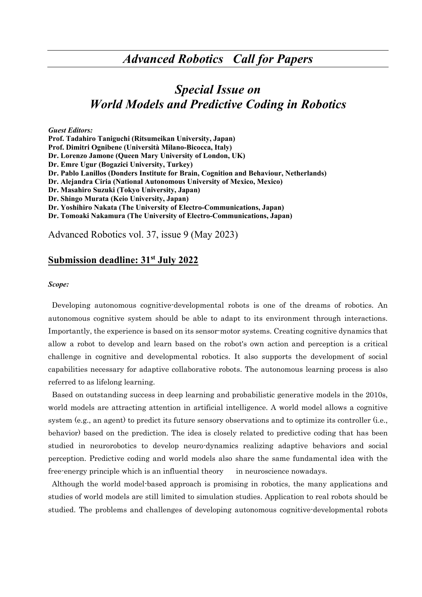# *Special Issue on World Models and Predictive Coding in Robotics*

*Guest Editors:*  **Prof. Tadahiro Taniguchi (Ritsumeikan University, Japan) Prof. Dimitri Ognibene (Università Milano-Bicocca, Italy) Dr. Lorenzo Jamone (Queen Mary University of London, UK) Dr. Emre Ugur (Bogazici University, Turkey) Dr. Pablo Lanillos (Donders Institute for Brain, Cognition and Behaviour, Netherlands) Dr. Alejandra Ciria (National Autonomous University of Mexico, Mexico) Dr. Masahiro Suzuki (Tokyo University, Japan) Dr. Shingo Murata (Keio University, Japan) Dr. Yoshihiro Nakata (The University of Electro-Communications, Japan) Dr. Tomoaki Nakamura (The University of Electro-Communications, Japan)** 

Advanced Robotics vol. 37, issue 9 (May 2023)

# **Submission deadline: 31st July 2022**

#### *Scope:*

Developing autonomous cognitive-developmental robots is one of the dreams of robotics. An autonomous cognitive system should be able to adapt to its environment through interactions. Importantly, the experience is based on its sensor-motor systems. Creating cognitive dynamics that allow a robot to develop and learn based on the robot's own action and perception is a critical challenge in cognitive and developmental robotics. It also supports the development of social capabilities necessary for adaptive collaborative robots. The autonomous learning process is also referred to as lifelong learning.

Based on outstanding success in deep learning and probabilistic generative models in the 2010s, world models are attracting attention in artificial intelligence. A world model allows a cognitive system (e.g., an agent) to predict its future sensory observations and to optimize its controller (i.e., behavior) based on the prediction. The idea is closely related to predictive coding that has been studied in neurorobotics to develop neuro-dynamics realizing adaptive behaviors and social perception. Predictive coding and world models also share the same fundamental idea with the free-energy principle which is an influential theory in neuroscience nowadays.

Although the world model-based approach is promising in robotics, the many applications and studies of world models are still limited to simulation studies. Application to real robots should be studied. The problems and challenges of developing autonomous cognitive-developmental robots